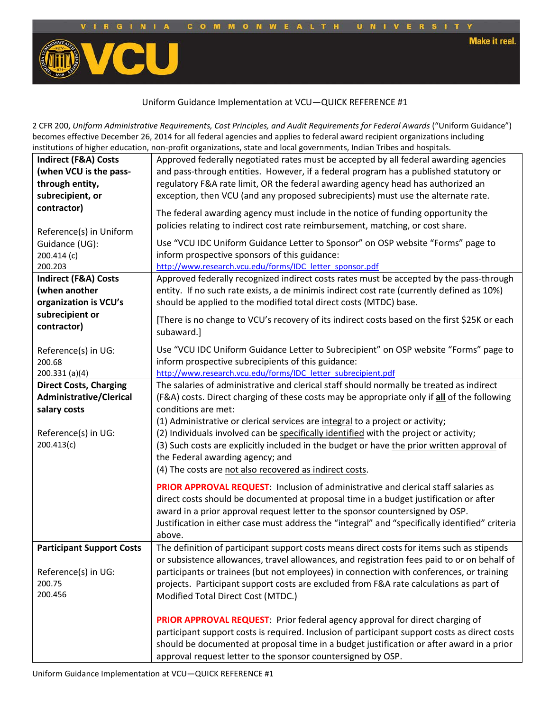

**Make it real.** 



## Uniform Guidance Implementation at VCU—QUICK REFERENCE #1

 institutions of higher education, non-profit organizations, state and local governments, Indian Tribes and hospitals. 2 CFR 200, *Uniform Administrative Requirements, Cost Principles, and Audit Requirements for Federal Awards* ("Uniform Guidance") becomes effective December 26, 2014 for all federal agencies and applies to federal award recipient organizations including

|                                  | nstitutions of inglici-cuucation, non-pront organizations, state and local governments, mulan-mises and nospitals. |
|----------------------------------|--------------------------------------------------------------------------------------------------------------------|
| <b>Indirect (F&amp;A) Costs</b>  | Approved federally negotiated rates must be accepted by all federal awarding agencies                              |
| (when VCU is the pass-           | and pass-through entities. However, if a federal program has a published statutory or                              |
| through entity,                  | regulatory F&A rate limit, OR the federal awarding agency head has authorized an                                   |
| subrecipient, or                 | exception, then VCU (and any proposed subrecipients) must use the alternate rate.                                  |
| contractor)                      |                                                                                                                    |
|                                  | The federal awarding agency must include in the notice of funding opportunity the                                  |
|                                  | policies relating to indirect cost rate reimbursement, matching, or cost share.                                    |
| Reference(s) in Uniform          |                                                                                                                    |
| Guidance (UG):                   | Use "VCU IDC Uniform Guidance Letter to Sponsor" on OSP website "Forms" page to                                    |
| 200.414 (c)                      | inform prospective sponsors of this guidance:                                                                      |
| 200.203                          | http://www.research.vcu.edu/forms/IDC letter sponsor.pdf                                                           |
| Indirect (F&A) Costs             | Approved federally recognized indirect costs rates must be accepted by the pass-through                            |
| (when another                    | entity. If no such rate exists, a de minimis indirect cost rate (currently defined as 10%)                         |
| organization is VCU's            | should be applied to the modified total direct costs (MTDC) base.                                                  |
| subrecipient or                  |                                                                                                                    |
| contractor)                      | [There is no change to VCU's recovery of its indirect costs based on the first \$25K or each                       |
|                                  | subaward.]                                                                                                         |
| Reference(s) in UG:              | Use "VCU IDC Uniform Guidance Letter to Subrecipient" on OSP website "Forms" page to                               |
| 200.68                           | inform prospective subrecipients of this guidance:                                                                 |
| 200.331 (a)(4)                   | http://www.research.vcu.edu/forms/IDC letter subrecipient.pdf                                                      |
| <b>Direct Costs, Charging</b>    | The salaries of administrative and clerical staff should normally be treated as indirect                           |
|                                  |                                                                                                                    |
| <b>Administrative/Clerical</b>   | (F&A) costs. Direct charging of these costs may be appropriate only if all of the following                        |
| salary costs                     | conditions are met:                                                                                                |
|                                  | (1) Administrative or clerical services are integral to a project or activity;                                     |
| Reference(s) in UG:              | (2) Individuals involved can be specifically identified with the project or activity;                              |
| 200.413(c)                       | (3) Such costs are explicitly included in the budget or have the prior written approval of                         |
|                                  | the Federal awarding agency; and                                                                                   |
|                                  | (4) The costs are not also recovered as indirect costs.                                                            |
|                                  |                                                                                                                    |
|                                  | PRIOR APPROVAL REQUEST: Inclusion of administrative and clerical staff salaries as                                 |
|                                  | direct costs should be documented at proposal time in a budget justification or after                              |
|                                  | award in a prior approval request letter to the sponsor countersigned by OSP.                                      |
|                                  | Justification in either case must address the "integral" and "specifically identified" criteria                    |
|                                  | above.                                                                                                             |
| <b>Participant Support Costs</b> | The definition of participant support costs means direct costs for items such as stipends                          |
|                                  | or subsistence allowances, travel allowances, and registration fees paid to or on behalf of                        |
| Reference(s) in UG:              | participants or trainees (but not employees) in connection with conferences, or training                           |
| 200.75                           | projects. Participant support costs are excluded from F&A rate calculations as part of                             |
| 200.456                          | Modified Total Direct Cost (MTDC.)                                                                                 |
|                                  |                                                                                                                    |
|                                  | PRIOR APPROVAL REQUEST: Prior federal agency approval for direct charging of                                       |
|                                  |                                                                                                                    |
|                                  | participant support costs is required. Inclusion of participant support costs as direct costs                      |
|                                  | should be documented at proposal time in a budget justification or after award in a prior                          |
|                                  | approval request letter to the sponsor countersigned by OSP.                                                       |